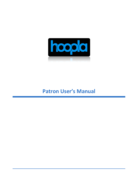

# **Patron User's Manual**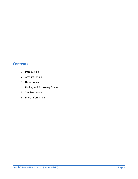## **Contents**

- 1. Introduction
- 2. Account Set-up
- 3. Using hoopla
- 4. Finding and Borrowing Content
- 5. Troubleshooting
- 6. More Information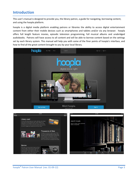### **Introduction**

This user's manual is designed to provide you, the library patron, a guide for navigating, borrowing content, and using the hoopla platform.

hoopla is a digital media platform enabling patrons or libraries the ability to access digital entertainment content from either their mobile devices such as smartphones and tablets and/or via any browser. hoopla offers full length feature movies, episodic television programming, full musical albums and unabridged audiobooks. Patrons will have access to all content and will be able to borrow content based on the settings set by each library system. This manual will help you with some of the finer points of hoopla's interface, and how to find all the great content brought to you by your local library.



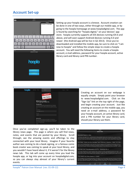#### **Account Set-up**





Setting up your hoopla account is a breeze. Account creation can be done in one of two ways, either through our mobile app, or by going to the hoopla homepage at www.hoopladigital.com. The app is found by searching for "hoopla digital," on your devices' app store. hoopla currently supports all iOS devices running iOS 6 and above, and will soon support Android devices running 4.0 and newer (the Android app will be live in Q2 2013). Once you've downloaded and installed the mobile app, be sure to click on "I am new to hoopla" and follow the simple steps to create a hoopla account. You will need the following items to create a hoopla account, e-mail address, password for your hoopla account, active library card and library card PIN number.



Creating an account on our webpage is equally simple. Simply point your browser to www.hoopladigital.com. Click on the "Sign Up" link on the top right of the page, and begin creating your account. Just like creating an account on the mobile app, you need an e-mail address, a password for your hoopla account, an active library card, and a PIN number for your library card, should your library use them.

Once you've completed sign-up, you'll be taken to the library news page. This page is where you will find news, notes, and events that are posted by your library. Scroll through; see the amazing events and offerings to stay connected with your local library. Imagine if your favorite author was coming to do a book signing, or a famous comic book creator was coming to speak at your local library, and you wouldn't have heard about it, if it weren't for the library news tab. This tab will come up every time you load the hoopla app, or log into your account on hoopladigital.com, so you can always stay abreast of your library's current events.

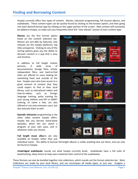Hoopla currently offers four types of content. Movies, television programming, full musical albums, and audiobooks. These content types can be quickly found by clicking on the browse option, and then going into each desired format type by clicking on the upper portion of the screen. New content will constantly be added to hoopla, so make sure you frequently check the "new release" section of each content type.

**Movies** are the first format option listed on the content selection bar. Movies are sort-able by featured, new releases (to the hoopla platform), top titles and genres. Clicking on any of the sorting options gives you the ability to discover content in a way that is easy and intuitive.

In addition to full length motion pictures, A wide array of documentaries, foreign films, artistic independent films, and hard-to-find titles are offered to users looking for something fresh and outside of the box. hoopla users also have access to a great amount of content that they could expect to find at their local library, such as educational videos and how-to-videos, such as foreign language training, potty training for your young children and SAT or GMAT training, to name a few, are also offered to not only entertain users, but also educate them as well.

**Episodic television** programming is the other video content hoopla offers. hoopla lets you borrow stand-alone episodes, which lets you watch a program at your own pace, and in whatever order you choose.

**Full length music albu**ms are also available on hoopla, rather than just



individual tracks. The ability to borrow full-length albums is unlike anything else out there, and can only be found on hoopla.

**Unabridged audiobooks** rounds out what hoopla currently lends. Audiobooks have a full suite of bookmarking, sleep timers to help users maximize their control of the audiobooks.

These formats can also be bundled together into collections, which rounds out the format selection bar. Most Collections are made by your local library, and can encompass all media types, or just one. Imagine a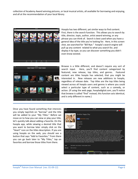collection of Academy Award winning pictures, or local musical artists, all available for borrowing and enjoying, and all at the recommendation of your local library.



Hoopla has two different, yet similar ways to find content. First, there is the search function. This allows you to search by title, director, topic, author, artist award winning, or any phrase you can think of. Search is best used when you have a general idea of the title you're looking for. Here, in this screen shot, we searched for "Bill Nye." hoopla's search engine will pull up any content related to what you search for, and display it by type, so you can discover something you didn't even know existed.



Browse is a little different, and doesn't require any sort of search input. Here, you'll find content categorized by featured, new release, top titles, and genres. Featured content are titles hoopla has selected, that you might be interested in. New releases are new additions to hoopla, regardless of release date. Top titles are the top titles being viewed across all hoopla users and genres is where you could select a particular type of content, such as a comedy, or action. (If using the web page, hoopladigital.com, you'll notice that browse is called "find" instead, this function acts identical, and is only different in name.)

Once you have found something that interests you simply tap/click on "borrow" and the title will be added to your "My Titles." Before we move on to how you can view or play your title, let's quickly talk about adding a favorite. On the hoopla app, while viewing a desired title that you want to borrow later simply click on the "Heart" icon on the titles description. If you are using hoopla on the web, you should see a button that says "Add to Favorites." From there you can go back later to "My Titles," tap on favorites and borrow those titles from there.

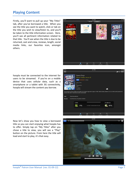## **Playing Content**

Firstly, you'll want to pull up your "My Titles" tab, after you've borrowed a title. When you see the title you want to watch, click or tab on the title you wish to view/listen to, and you'll be taken to the title information screen. Here, you'll see all pertinent information related to that title. You'll see when the title is due to be returned, cast and crew, reviews, length, social media links, our favorites icon, amongst others.



hoopla must be connected to the internet for users to be streamed. If you're on a mobile device that uses cellular data, such as a smartphone or a tablet with 3G connectivity, hoopla will stream the content you borrow.



Now let's show you how to view a borrowed title so you can start enjoying what hoopla has to offer. Simply tap on "My Titles" after you chose a title to view, you will see a "Play" button on the picture. From here the title will load and start to play, it's that easy.



 $\bullet$   $\heartsuit$  Re